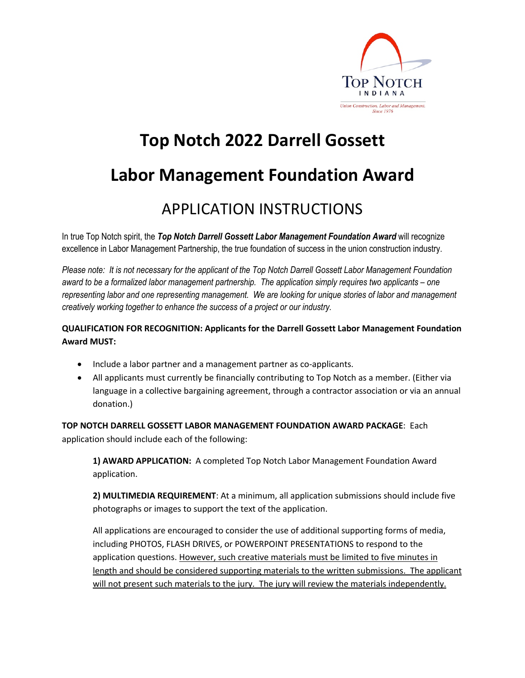

## **Top Notch 2022 Darrell Gossett**

### **Labor Management Foundation Award**

### APPLICATION INSTRUCTIONS

In true Top Notch spirit, the *Top Notch Darrell Gossett Labor Management Foundation Award* will recognize excellence in Labor Management Partnership, the true foundation of success in the union construction industry.

*Please note: It is not necessary for the applicant of the Top Notch Darrell Gossett Labor Management Foundation award to be a formalized labor management partnership. The application simply requires two applicants – one representing labor and one representing management. We are looking for unique stories of labor and management creatively working together to enhance the success of a project or our industry.*

#### **QUALIFICATION FOR RECOGNITION: Applicants for the Darrell Gossett Labor Management Foundation Award MUST:**

- Include a labor partner and a management partner as co-applicants.
- All applicants must currently be financially contributing to Top Notch as a member. (Either via language in a collective bargaining agreement, through a contractor association or via an annual donation.)

**TOP NOTCH DARRELL GOSSETT LABOR MANAGEMENT FOUNDATION AWARD PACKAGE**: Each application should include each of the following:

**1) AWARD APPLICATION:** A completed Top Notch Labor Management Foundation Award application.

**2) MULTIMEDIA REQUIREMENT**: At a minimum, all application submissions should include five photographs or images to support the text of the application.

All applications are encouraged to consider the use of additional supporting forms of media, including PHOTOS, FLASH DRIVES, or POWERPOINT PRESENTATIONS to respond to the application questions. However, such creative materials must be limited to five minutes in length and should be considered supporting materials to the written submissions. The applicant will not present such materials to the jury. The jury will review the materials independently.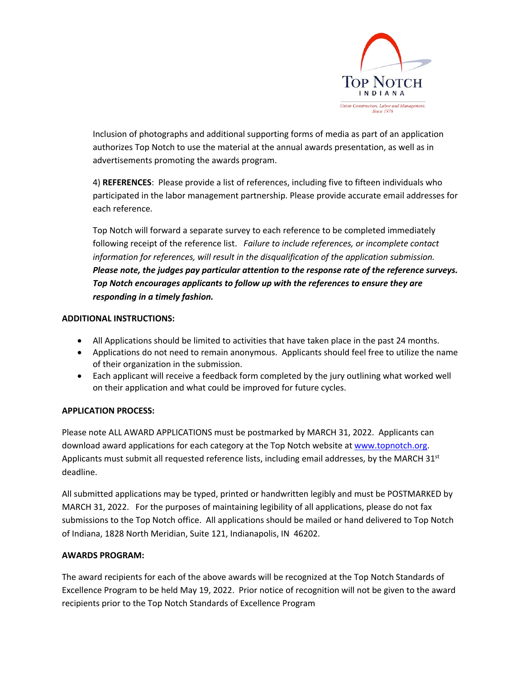

Inclusion of photographs and additional supporting forms of media as part of an application authorizes Top Notch to use the material at the annual awards presentation, as well as in advertisements promoting the awards program.

4) **REFERENCES**: Please provide a list of references, including five to fifteen individuals who participated in the labor management partnership. Please provide accurate email addresses for each reference.

Top Notch will forward a separate survey to each reference to be completed immediately following receipt of the reference list. *Failure to include references, or incomplete contact information for references, will result in the disqualification of the application submission. Please note, the judges pay particular attention to the response rate of the reference surveys. Top Notch encourages applicants to follow up with the references to ensure they are responding in a timely fashion.*

#### **ADDITIONAL INSTRUCTIONS:**

- All Applications should be limited to activities that have taken place in the past 24 months.
- Applications do not need to remain anonymous. Applicants should feel free to utilize the name of their organization in the submission.
- Each applicant will receive a feedback form completed by the jury outlining what worked well on their application and what could be improved for future cycles.

#### **APPLICATION PROCESS:**

Please note ALL AWARD APPLICATIONS must be postmarked by MARCH 31, 2022. Applicants can download award applications for each category at the Top Notch website at www.topnotch.org. Applicants must submit all requested reference lists, including email addresses, by the MARCH  $31<sup>st</sup>$ deadline.

All submitted applications may be typed, printed or handwritten legibly and must be POSTMARKED by MARCH 31, 2022. For the purposes of maintaining legibility of all applications, please do not fax submissions to the Top Notch office. All applications should be mailed or hand delivered to Top Notch of Indiana, 1828 North Meridian, Suite 121, Indianapolis, IN 46202.

#### **AWARDS PROGRAM:**

The award recipients for each of the above awards will be recognized at the Top Notch Standards of Excellence Program to be held May 19, 2022. Prior notice of recognition will not be given to the award recipients prior to the Top Notch Standards of Excellence Program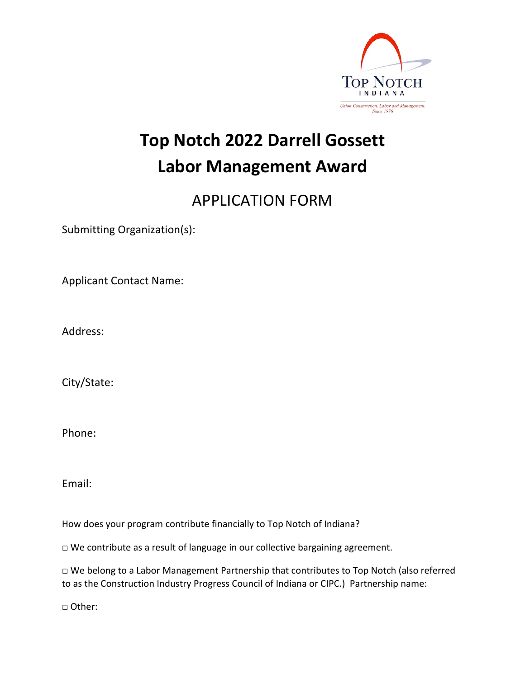

## **Top Notch 2022 Darrell Gossett Labor Management Award**

### APPLICATION FORM

Submitting Organization(s):

Applicant Contact Name:

Address:

City/State:

Phone:

Email:

How does your program contribute financially to Top Notch of Indiana?

□ We contribute as a result of language in our collective bargaining agreement.

□ We belong to a Labor Management Partnership that contributes to Top Notch (also referred to as the Construction Industry Progress Council of Indiana or CIPC.) Partnership name:

□ Other: